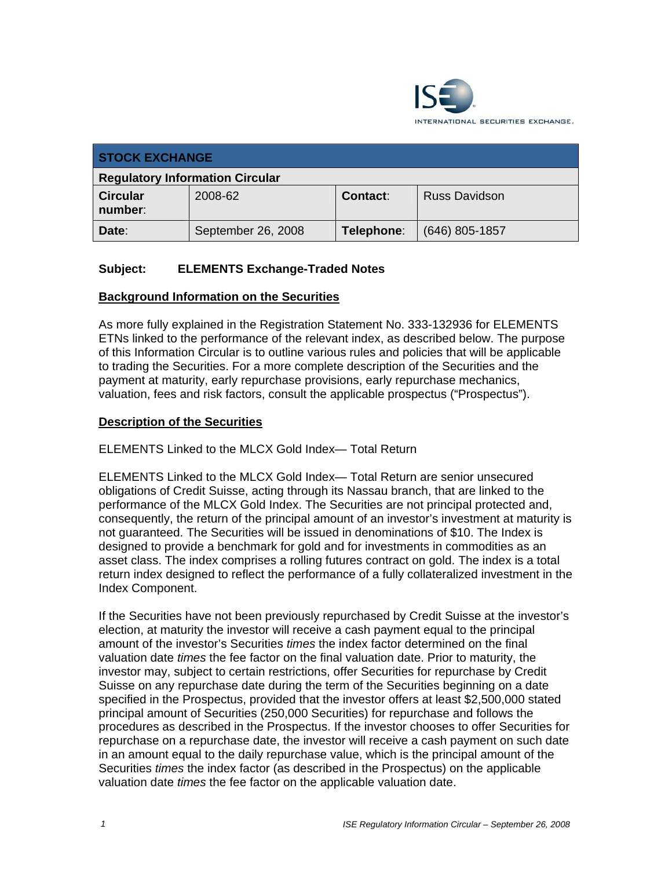

| <b>STOCK EXCHANGE</b>                  |                    |                 |                      |  |
|----------------------------------------|--------------------|-----------------|----------------------|--|
| <b>Regulatory Information Circular</b> |                    |                 |                      |  |
| <b>Circular</b><br>number:             | 2008-62            | <b>Contact:</b> | <b>Russ Davidson</b> |  |
| Date:                                  | September 26, 2008 | Telephone:      | $(646)$ 805-1857     |  |

## **Subject: ELEMENTS Exchange-Traded Notes**

#### **Background Information on the Securities**

As more fully explained in the Registration Statement No. 333-132936 for ELEMENTS ETNs linked to the performance of the relevant index, as described below. The purpose of this Information Circular is to outline various rules and policies that will be applicable to trading the Securities. For a more complete description of the Securities and the payment at maturity, early repurchase provisions, early repurchase mechanics, valuation, fees and risk factors, consult the applicable prospectus ("Prospectus").

#### **Description of the Securities**

ELEMENTS Linked to the MLCX Gold Index— Total Return

ELEMENTS Linked to the MLCX Gold Index— Total Return are senior unsecured obligations of Credit Suisse, acting through its Nassau branch, that are linked to the performance of the MLCX Gold Index. The Securities are not principal protected and, consequently, the return of the principal amount of an investor's investment at maturity is not guaranteed. The Securities will be issued in denominations of \$10. The Index is designed to provide a benchmark for gold and for investments in commodities as an asset class. The index comprises a rolling futures contract on gold. The index is a total return index designed to reflect the performance of a fully collateralized investment in the Index Component.

If the Securities have not been previously repurchased by Credit Suisse at the investor's election, at maturity the investor will receive a cash payment equal to the principal amount of the investor's Securities *times* the index factor determined on the final valuation date *times* the fee factor on the final valuation date. Prior to maturity, the investor may, subject to certain restrictions, offer Securities for repurchase by Credit Suisse on any repurchase date during the term of the Securities beginning on a date specified in the Prospectus, provided that the investor offers at least \$2,500,000 stated principal amount of Securities (250,000 Securities) for repurchase and follows the procedures as described in the Prospectus. If the investor chooses to offer Securities for repurchase on a repurchase date, the investor will receive a cash payment on such date in an amount equal to the daily repurchase value, which is the principal amount of the Securities *times* the index factor (as described in the Prospectus) on the applicable valuation date *times* the fee factor on the applicable valuation date.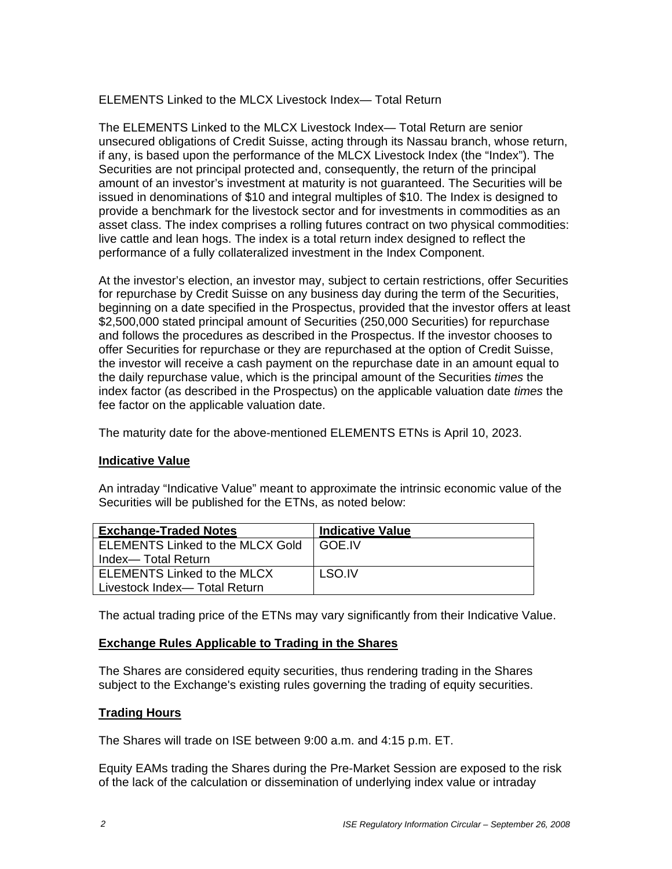ELEMENTS Linked to the MLCX Livestock Index— Total Return

The ELEMENTS Linked to the MLCX Livestock Index— Total Return are senior unsecured obligations of Credit Suisse, acting through its Nassau branch, whose return, if any, is based upon the performance of the MLCX Livestock Index (the "Index"). The Securities are not principal protected and, consequently, the return of the principal amount of an investor's investment at maturity is not guaranteed. The Securities will be issued in denominations of \$10 and integral multiples of \$10. The Index is designed to provide a benchmark for the livestock sector and for investments in commodities as an asset class. The index comprises a rolling futures contract on two physical commodities: live cattle and lean hogs. The index is a total return index designed to reflect the performance of a fully collateralized investment in the Index Component.

At the investor's election, an investor may, subject to certain restrictions, offer Securities for repurchase by Credit Suisse on any business day during the term of the Securities, beginning on a date specified in the Prospectus, provided that the investor offers at least \$2,500,000 stated principal amount of Securities (250,000 Securities) for repurchase and follows the procedures as described in the Prospectus. If the investor chooses to offer Securities for repurchase or they are repurchased at the option of Credit Suisse, the investor will receive a cash payment on the repurchase date in an amount equal to the daily repurchase value, which is the principal amount of the Securities *times* the index factor (as described in the Prospectus) on the applicable valuation date *times* the fee factor on the applicable valuation date.

The maturity date for the above-mentioned ELEMENTS ETNs is April 10, 2023.

## **Indicative Value**

An intraday "Indicative Value" meant to approximate the intrinsic economic value of the Securities will be published for the ETNs, as noted below:

| <b>Exchange-Traded Notes</b>            | <b>Indicative Value</b> |  |
|-----------------------------------------|-------------------------|--|
| <b>ELEMENTS Linked to the MLCX Gold</b> | I GOE.IV                |  |
| Index— Total Return                     |                         |  |
| ELEMENTS Linked to the MLCX             | LSO.IV                  |  |
| Livestock Index-Total Return            |                         |  |

The actual trading price of the ETNs may vary significantly from their Indicative Value.

## **Exchange Rules Applicable to Trading in the Shares**

The Shares are considered equity securities, thus rendering trading in the Shares subject to the Exchange's existing rules governing the trading of equity securities.

## **Trading Hours**

The Shares will trade on ISE between 9:00 a.m. and 4:15 p.m. ET.

Equity EAMs trading the Shares during the Pre-Market Session are exposed to the risk of the lack of the calculation or dissemination of underlying index value or intraday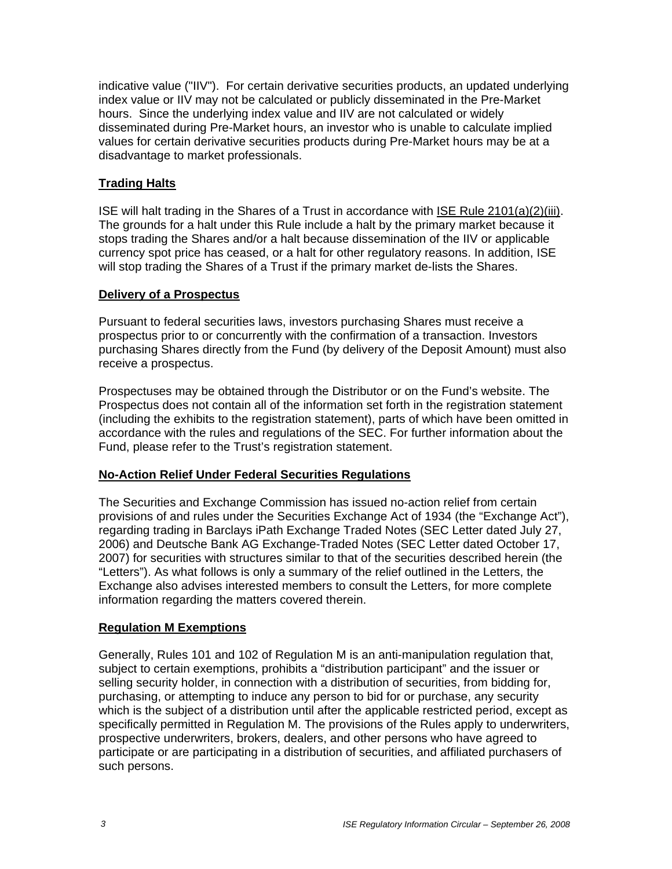indicative value ("IIV"). For certain derivative securities products, an updated underlying index value or IIV may not be calculated or publicly disseminated in the Pre-Market hours. Since the underlying index value and IIV are not calculated or widely disseminated during Pre-Market hours, an investor who is unable to calculate implied values for certain derivative securities products during Pre-Market hours may be at a disadvantage to market professionals.

# **Trading Halts**

ISE will halt trading in the Shares of a Trust in accordance with ISE Rule 2101(a)(2)(iii). The grounds for a halt under this Rule include a halt by the primary market because it stops trading the Shares and/or a halt because dissemination of the IIV or applicable currency spot price has ceased, or a halt for other regulatory reasons. In addition, ISE will stop trading the Shares of a Trust if the primary market de-lists the Shares.

#### **Delivery of a Prospectus**

Pursuant to federal securities laws, investors purchasing Shares must receive a prospectus prior to or concurrently with the confirmation of a transaction. Investors purchasing Shares directly from the Fund (by delivery of the Deposit Amount) must also receive a prospectus.

Prospectuses may be obtained through the Distributor or on the Fund's website. The Prospectus does not contain all of the information set forth in the registration statement (including the exhibits to the registration statement), parts of which have been omitted in accordance with the rules and regulations of the SEC. For further information about the Fund, please refer to the Trust's registration statement.

## **No-Action Relief Under Federal Securities Regulations**

The Securities and Exchange Commission has issued no-action relief from certain provisions of and rules under the Securities Exchange Act of 1934 (the "Exchange Act"), regarding trading in Barclays iPath Exchange Traded Notes (SEC Letter dated July 27, 2006) and Deutsche Bank AG Exchange-Traded Notes (SEC Letter dated October 17, 2007) for securities with structures similar to that of the securities described herein (the "Letters"). As what follows is only a summary of the relief outlined in the Letters, the Exchange also advises interested members to consult the Letters, for more complete information regarding the matters covered therein.

## **Regulation M Exemptions**

Generally, Rules 101 and 102 of Regulation M is an anti-manipulation regulation that, subject to certain exemptions, prohibits a "distribution participant" and the issuer or selling security holder, in connection with a distribution of securities, from bidding for, purchasing, or attempting to induce any person to bid for or purchase, any security which is the subject of a distribution until after the applicable restricted period, except as specifically permitted in Regulation M. The provisions of the Rules apply to underwriters, prospective underwriters, brokers, dealers, and other persons who have agreed to participate or are participating in a distribution of securities, and affiliated purchasers of such persons.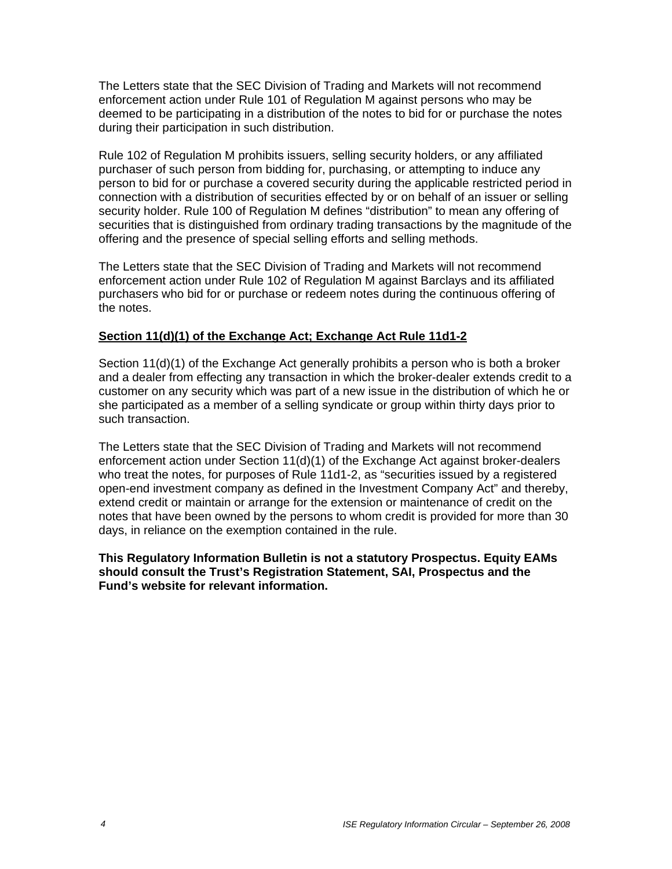The Letters state that the SEC Division of Trading and Markets will not recommend enforcement action under Rule 101 of Regulation M against persons who may be deemed to be participating in a distribution of the notes to bid for or purchase the notes during their participation in such distribution.

Rule 102 of Regulation M prohibits issuers, selling security holders, or any affiliated purchaser of such person from bidding for, purchasing, or attempting to induce any person to bid for or purchase a covered security during the applicable restricted period in connection with a distribution of securities effected by or on behalf of an issuer or selling security holder. Rule 100 of Regulation M defines "distribution" to mean any offering of securities that is distinguished from ordinary trading transactions by the magnitude of the offering and the presence of special selling efforts and selling methods.

The Letters state that the SEC Division of Trading and Markets will not recommend enforcement action under Rule 102 of Regulation M against Barclays and its affiliated purchasers who bid for or purchase or redeem notes during the continuous offering of the notes.

## **Section 11(d)(1) of the Exchange Act; Exchange Act Rule 11d1-2**

Section 11(d)(1) of the Exchange Act generally prohibits a person who is both a broker and a dealer from effecting any transaction in which the broker-dealer extends credit to a customer on any security which was part of a new issue in the distribution of which he or she participated as a member of a selling syndicate or group within thirty days prior to such transaction.

The Letters state that the SEC Division of Trading and Markets will not recommend enforcement action under Section 11(d)(1) of the Exchange Act against broker-dealers who treat the notes, for purposes of Rule 11d1-2, as "securities issued by a registered open-end investment company as defined in the Investment Company Act" and thereby, extend credit or maintain or arrange for the extension or maintenance of credit on the notes that have been owned by the persons to whom credit is provided for more than 30 days, in reliance on the exemption contained in the rule.

#### **This Regulatory Information Bulletin is not a statutory Prospectus. Equity EAMs should consult the Trust's Registration Statement, SAI, Prospectus and the Fund's website for relevant information.**